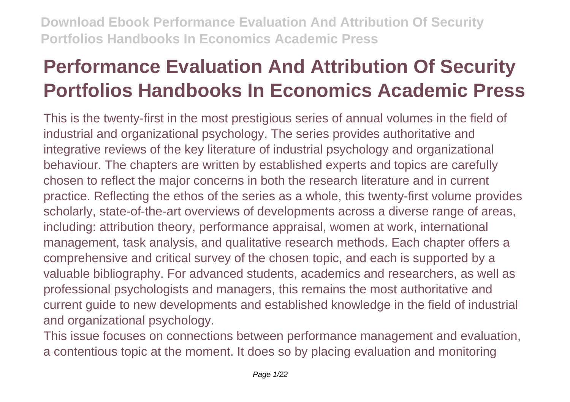# **Performance Evaluation And Attribution Of Security Portfolios Handbooks In Economics Academic Press**

This is the twenty-first in the most prestigious series of annual volumes in the field of industrial and organizational psychology. The series provides authoritative and integrative reviews of the key literature of industrial psychology and organizational behaviour. The chapters are written by established experts and topics are carefully chosen to reflect the major concerns in both the research literature and in current practice. Reflecting the ethos of the series as a whole, this twenty-first volume provides scholarly, state-of-the-art overviews of developments across a diverse range of areas, including: attribution theory, performance appraisal, women at work, international management, task analysis, and qualitative research methods. Each chapter offers a comprehensive and critical survey of the chosen topic, and each is supported by a valuable bibliography. For advanced students, academics and researchers, as well as professional psychologists and managers, this remains the most authoritative and current guide to new developments and established knowledge in the field of industrial and organizational psychology.

This issue focuses on connections between performance management and evaluation, a contentious topic at the moment. It does so by placing evaluation and monitoring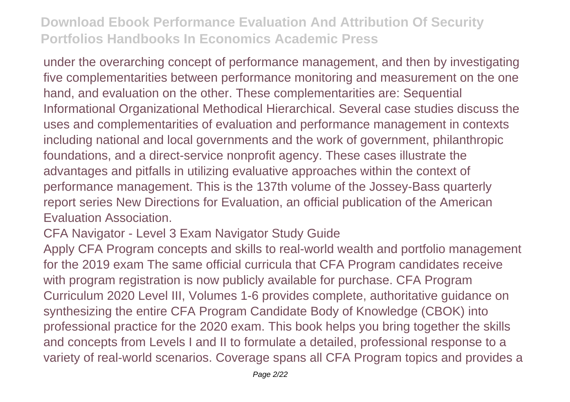under the overarching concept of performance management, and then by investigating five complementarities between performance monitoring and measurement on the one hand, and evaluation on the other. These complementarities are: Sequential Informational Organizational Methodical Hierarchical. Several case studies discuss the uses and complementarities of evaluation and performance management in contexts including national and local governments and the work of government, philanthropic foundations, and a direct-service nonprofit agency. These cases illustrate the advantages and pitfalls in utilizing evaluative approaches within the context of performance management. This is the 137th volume of the Jossey-Bass quarterly report series New Directions for Evaluation, an official publication of the American Evaluation Association.

CFA Navigator - Level 3 Exam Navigator Study Guide

Apply CFA Program concepts and skills to real-world wealth and portfolio management for the 2019 exam The same official curricula that CFA Program candidates receive with program registration is now publicly available for purchase. CFA Program Curriculum 2020 Level III, Volumes 1-6 provides complete, authoritative guidance on synthesizing the entire CFA Program Candidate Body of Knowledge (CBOK) into professional practice for the 2020 exam. This book helps you bring together the skills and concepts from Levels I and II to formulate a detailed, professional response to a variety of real-world scenarios. Coverage spans all CFA Program topics and provides a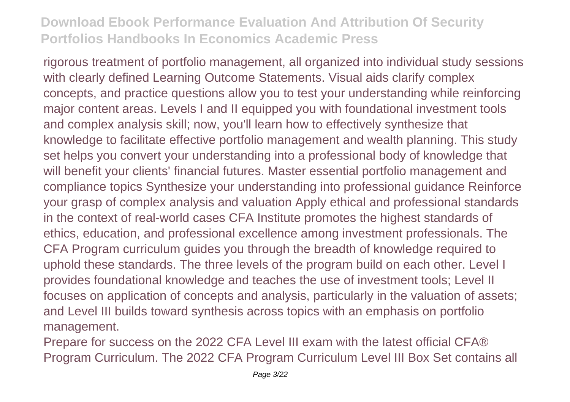rigorous treatment of portfolio management, all organized into individual study sessions with clearly defined Learning Outcome Statements. Visual aids clarify complex concepts, and practice questions allow you to test your understanding while reinforcing major content areas. Levels I and II equipped you with foundational investment tools and complex analysis skill; now, you'll learn how to effectively synthesize that knowledge to facilitate effective portfolio management and wealth planning. This study set helps you convert your understanding into a professional body of knowledge that will benefit your clients' financial futures. Master essential portfolio management and compliance topics Synthesize your understanding into professional guidance Reinforce your grasp of complex analysis and valuation Apply ethical and professional standards in the context of real-world cases CFA Institute promotes the highest standards of ethics, education, and professional excellence among investment professionals. The CFA Program curriculum guides you through the breadth of knowledge required to uphold these standards. The three levels of the program build on each other. Level I provides foundational knowledge and teaches the use of investment tools; Level II focuses on application of concepts and analysis, particularly in the valuation of assets; and Level III builds toward synthesis across topics with an emphasis on portfolio management.

Prepare for success on the 2022 CFA Level III exam with the latest official CFA® Program Curriculum. The 2022 CFA Program Curriculum Level III Box Set contains all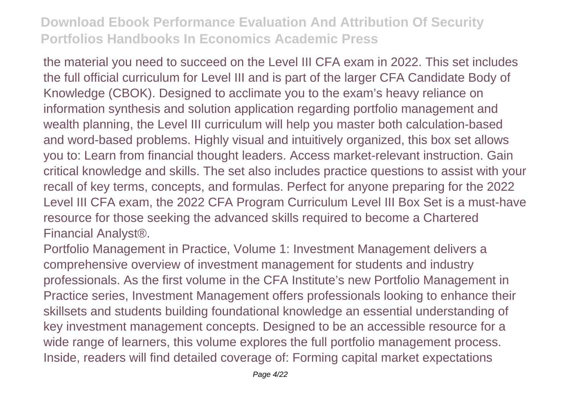the material you need to succeed on the Level III CFA exam in 2022. This set includes the full official curriculum for Level III and is part of the larger CFA Candidate Body of Knowledge (CBOK). Designed to acclimate you to the exam's heavy reliance on information synthesis and solution application regarding portfolio management and wealth planning, the Level III curriculum will help you master both calculation-based and word-based problems. Highly visual and intuitively organized, this box set allows you to: Learn from financial thought leaders. Access market-relevant instruction. Gain critical knowledge and skills. The set also includes practice questions to assist with your recall of key terms, concepts, and formulas. Perfect for anyone preparing for the 2022 Level III CFA exam, the 2022 CFA Program Curriculum Level III Box Set is a must-have resource for those seeking the advanced skills required to become a Chartered Financial Analyst®.

Portfolio Management in Practice, Volume 1: Investment Management delivers a comprehensive overview of investment management for students and industry professionals. As the first volume in the CFA Institute's new Portfolio Management in Practice series, Investment Management offers professionals looking to enhance their skillsets and students building foundational knowledge an essential understanding of key investment management concepts. Designed to be an accessible resource for a wide range of learners, this volume explores the full portfolio management process. Inside, readers will find detailed coverage of: Forming capital market expectations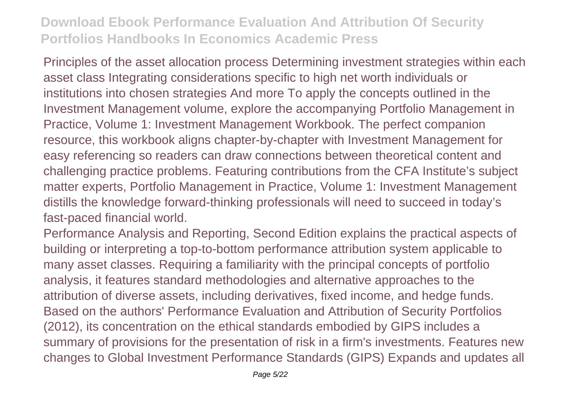Principles of the asset allocation process Determining investment strategies within each asset class Integrating considerations specific to high net worth individuals or institutions into chosen strategies And more To apply the concepts outlined in the Investment Management volume, explore the accompanying Portfolio Management in Practice, Volume 1: Investment Management Workbook. The perfect companion resource, this workbook aligns chapter-by-chapter with Investment Management for easy referencing so readers can draw connections between theoretical content and challenging practice problems. Featuring contributions from the CFA Institute's subject matter experts, Portfolio Management in Practice, Volume 1: Investment Management distills the knowledge forward-thinking professionals will need to succeed in today's fast-paced financial world.

Performance Analysis and Reporting, Second Edition explains the practical aspects of building or interpreting a top-to-bottom performance attribution system applicable to many asset classes. Requiring a familiarity with the principal concepts of portfolio analysis, it features standard methodologies and alternative approaches to the attribution of diverse assets, including derivatives, fixed income, and hedge funds. Based on the authors' Performance Evaluation and Attribution of Security Portfolios (2012), its concentration on the ethical standards embodied by GIPS includes a summary of provisions for the presentation of risk in a firm's investments. Features new changes to Global Investment Performance Standards (GIPS) Expands and updates all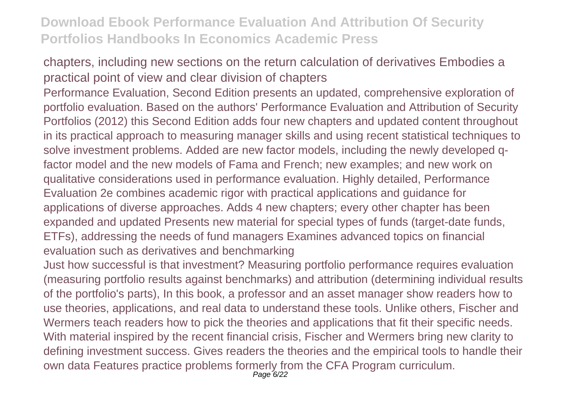chapters, including new sections on the return calculation of derivatives Embodies a practical point of view and clear division of chapters

Performance Evaluation, Second Edition presents an updated, comprehensive exploration of portfolio evaluation. Based on the authors' Performance Evaluation and Attribution of Security Portfolios (2012) this Second Edition adds four new chapters and updated content throughout in its practical approach to measuring manager skills and using recent statistical techniques to solve investment problems. Added are new factor models, including the newly developed qfactor model and the new models of Fama and French; new examples; and new work on qualitative considerations used in performance evaluation. Highly detailed, Performance Evaluation 2e combines academic rigor with practical applications and guidance for applications of diverse approaches. Adds 4 new chapters; every other chapter has been expanded and updated Presents new material for special types of funds (target-date funds, ETFs), addressing the needs of fund managers Examines advanced topics on financial evaluation such as derivatives and benchmarking

Just how successful is that investment? Measuring portfolio performance requires evaluation (measuring portfolio results against benchmarks) and attribution (determining individual results of the portfolio's parts), In this book, a professor and an asset manager show readers how to use theories, applications, and real data to understand these tools. Unlike others, Fischer and Wermers teach readers how to pick the theories and applications that fit their specific needs. With material inspired by the recent financial crisis, Fischer and Wermers bring new clarity to defining investment success. Gives readers the theories and the empirical tools to handle their own data Features practice problems formerly from the CFA Program curriculum. Page 6/22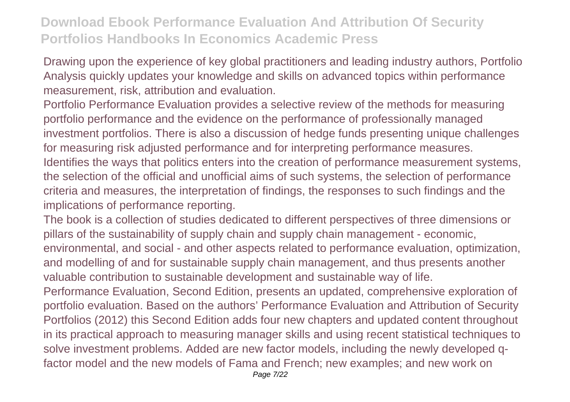Drawing upon the experience of key global practitioners and leading industry authors, Portfolio Analysis quickly updates your knowledge and skills on advanced topics within performance measurement, risk, attribution and evaluation.

Portfolio Performance Evaluation provides a selective review of the methods for measuring portfolio performance and the evidence on the performance of professionally managed investment portfolios. There is also a discussion of hedge funds presenting unique challenges for measuring risk adjusted performance and for interpreting performance measures. Identifies the ways that politics enters into the creation of performance measurement systems, the selection of the official and unofficial aims of such systems, the selection of performance criteria and measures, the interpretation of findings, the responses to such findings and the implications of performance reporting.

The book is a collection of studies dedicated to different perspectives of three dimensions or pillars of the sustainability of supply chain and supply chain management - economic, environmental, and social - and other aspects related to performance evaluation, optimization, and modelling of and for sustainable supply chain management, and thus presents another valuable contribution to sustainable development and sustainable way of life.

Performance Evaluation, Second Edition, presents an updated, comprehensive exploration of portfolio evaluation. Based on the authors' Performance Evaluation and Attribution of Security Portfolios (2012) this Second Edition adds four new chapters and updated content throughout in its practical approach to measuring manager skills and using recent statistical techniques to solve investment problems. Added are new factor models, including the newly developed qfactor model and the new models of Fama and French; new examples; and new work on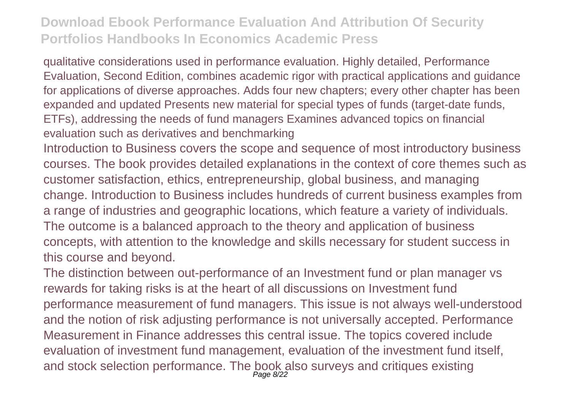qualitative considerations used in performance evaluation. Highly detailed, Performance Evaluation, Second Edition, combines academic rigor with practical applications and guidance for applications of diverse approaches. Adds four new chapters; every other chapter has been expanded and updated Presents new material for special types of funds (target-date funds, ETFs), addressing the needs of fund managers Examines advanced topics on financial evaluation such as derivatives and benchmarking

Introduction to Business covers the scope and sequence of most introductory business courses. The book provides detailed explanations in the context of core themes such as customer satisfaction, ethics, entrepreneurship, global business, and managing change. Introduction to Business includes hundreds of current business examples from a range of industries and geographic locations, which feature a variety of individuals. The outcome is a balanced approach to the theory and application of business concepts, with attention to the knowledge and skills necessary for student success in this course and beyond.

The distinction between out-performance of an Investment fund or plan manager vs rewards for taking risks is at the heart of all discussions on Investment fund performance measurement of fund managers. This issue is not always well-understood and the notion of risk adjusting performance is not universally accepted. Performance Measurement in Finance addresses this central issue. The topics covered include evaluation of investment fund management, evaluation of the investment fund itself, and stock selection performance. The book also surveys and critiques existing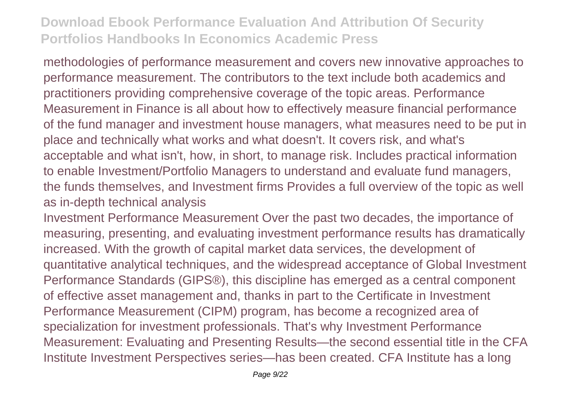methodologies of performance measurement and covers new innovative approaches to performance measurement. The contributors to the text include both academics and practitioners providing comprehensive coverage of the topic areas. Performance Measurement in Finance is all about how to effectively measure financial performance of the fund manager and investment house managers, what measures need to be put in place and technically what works and what doesn't. It covers risk, and what's acceptable and what isn't, how, in short, to manage risk. Includes practical information to enable Investment/Portfolio Managers to understand and evaluate fund managers, the funds themselves, and Investment firms Provides a full overview of the topic as well as in-depth technical analysis

Investment Performance Measurement Over the past two decades, the importance of measuring, presenting, and evaluating investment performance results has dramatically increased. With the growth of capital market data services, the development of quantitative analytical techniques, and the widespread acceptance of Global Investment Performance Standards (GIPS®), this discipline has emerged as a central component of effective asset management and, thanks in part to the Certificate in Investment Performance Measurement (CIPM) program, has become a recognized area of specialization for investment professionals. That's why Investment Performance Measurement: Evaluating and Presenting Results—the second essential title in the CFA Institute Investment Perspectives series—has been created. CFA Institute has a long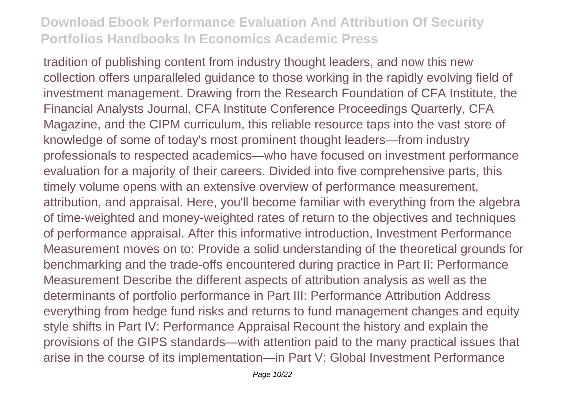tradition of publishing content from industry thought leaders, and now this new collection offers unparalleled guidance to those working in the rapidly evolving field of investment management. Drawing from the Research Foundation of CFA Institute, the Financial Analysts Journal, CFA Institute Conference Proceedings Quarterly, CFA Magazine, and the CIPM curriculum, this reliable resource taps into the vast store of knowledge of some of today's most prominent thought leaders—from industry professionals to respected academics—who have focused on investment performance evaluation for a majority of their careers. Divided into five comprehensive parts, this timely volume opens with an extensive overview of performance measurement, attribution, and appraisal. Here, you'll become familiar with everything from the algebra of time-weighted and money-weighted rates of return to the objectives and techniques of performance appraisal. After this informative introduction, Investment Performance Measurement moves on to: Provide a solid understanding of the theoretical grounds for benchmarking and the trade-offs encountered during practice in Part II: Performance Measurement Describe the different aspects of attribution analysis as well as the determinants of portfolio performance in Part III: Performance Attribution Address everything from hedge fund risks and returns to fund management changes and equity style shifts in Part IV: Performance Appraisal Recount the history and explain the provisions of the GIPS standards—with attention paid to the many practical issues that arise in the course of its implementation—in Part V: Global Investment Performance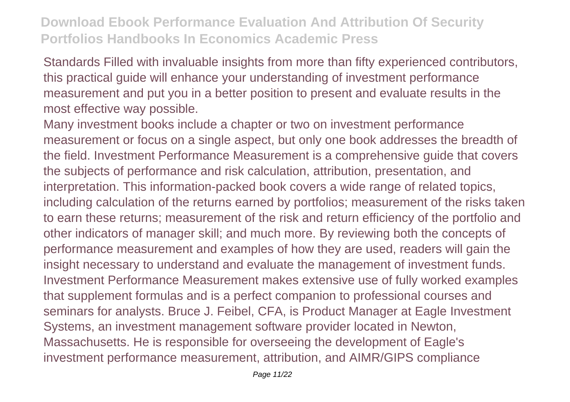Standards Filled with invaluable insights from more than fifty experienced contributors, this practical guide will enhance your understanding of investment performance measurement and put you in a better position to present and evaluate results in the most effective way possible.

Many investment books include a chapter or two on investment performance measurement or focus on a single aspect, but only one book addresses the breadth of the field. Investment Performance Measurement is a comprehensive guide that covers the subjects of performance and risk calculation, attribution, presentation, and interpretation. This information-packed book covers a wide range of related topics, including calculation of the returns earned by portfolios; measurement of the risks taken to earn these returns; measurement of the risk and return efficiency of the portfolio and other indicators of manager skill; and much more. By reviewing both the concepts of performance measurement and examples of how they are used, readers will gain the insight necessary to understand and evaluate the management of investment funds. Investment Performance Measurement makes extensive use of fully worked examples that supplement formulas and is a perfect companion to professional courses and seminars for analysts. Bruce J. Feibel, CFA, is Product Manager at Eagle Investment Systems, an investment management software provider located in Newton, Massachusetts. He is responsible for overseeing the development of Eagle's investment performance measurement, attribution, and AIMR/GIPS compliance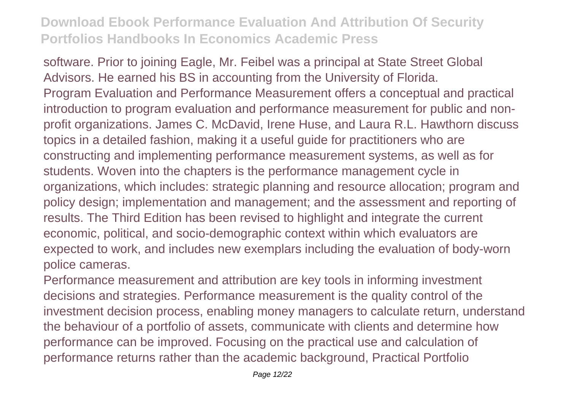software. Prior to joining Eagle, Mr. Feibel was a principal at State Street Global Advisors. He earned his BS in accounting from the University of Florida. Program Evaluation and Performance Measurement offers a conceptual and practical introduction to program evaluation and performance measurement for public and nonprofit organizations. James C. McDavid, Irene Huse, and Laura R.L. Hawthorn discuss topics in a detailed fashion, making it a useful guide for practitioners who are constructing and implementing performance measurement systems, as well as for students. Woven into the chapters is the performance management cycle in organizations, which includes: strategic planning and resource allocation; program and policy design; implementation and management; and the assessment and reporting of results. The Third Edition has been revised to highlight and integrate the current economic, political, and socio-demographic context within which evaluators are expected to work, and includes new exemplars including the evaluation of body-worn police cameras.

Performance measurement and attribution are key tools in informing investment decisions and strategies. Performance measurement is the quality control of the investment decision process, enabling money managers to calculate return, understand the behaviour of a portfolio of assets, communicate with clients and determine how performance can be improved. Focusing on the practical use and calculation of performance returns rather than the academic background, Practical Portfolio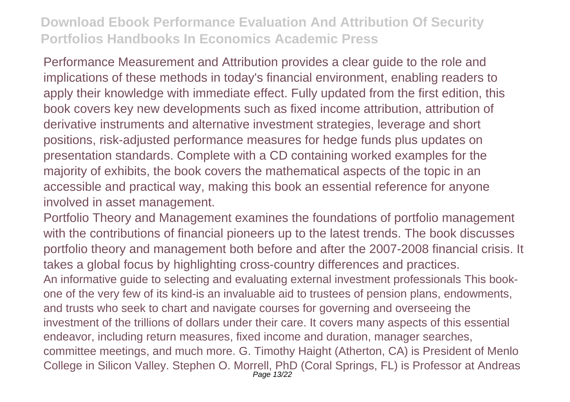Performance Measurement and Attribution provides a clear guide to the role and implications of these methods in today's financial environment, enabling readers to apply their knowledge with immediate effect. Fully updated from the first edition, this book covers key new developments such as fixed income attribution, attribution of derivative instruments and alternative investment strategies, leverage and short positions, risk-adjusted performance measures for hedge funds plus updates on presentation standards. Complete with a CD containing worked examples for the majority of exhibits, the book covers the mathematical aspects of the topic in an accessible and practical way, making this book an essential reference for anyone involved in asset management.

Portfolio Theory and Management examines the foundations of portfolio management with the contributions of financial pioneers up to the latest trends. The book discusses portfolio theory and management both before and after the 2007-2008 financial crisis. It takes a global focus by highlighting cross-country differences and practices. An informative guide to selecting and evaluating external investment professionals This bookone of the very few of its kind-is an invaluable aid to trustees of pension plans, endowments, and trusts who seek to chart and navigate courses for governing and overseeing the investment of the trillions of dollars under their care. It covers many aspects of this essential endeavor, including return measures, fixed income and duration, manager searches, committee meetings, and much more. G. Timothy Haight (Atherton, CA) is President of Menlo College in Silicon Valley. Stephen O. Morrell, PhD (Coral Springs, FL) is Professor at Andreas Page 13/22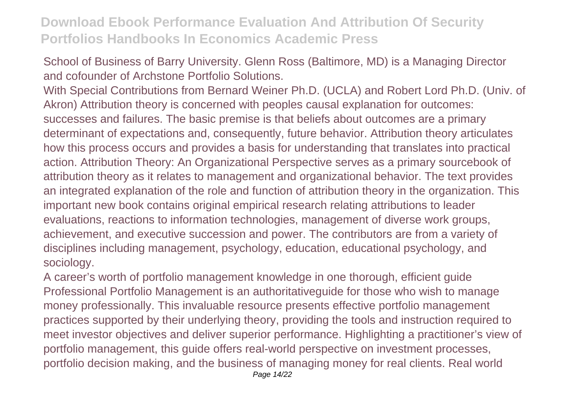School of Business of Barry University. Glenn Ross (Baltimore, MD) is a Managing Director and cofounder of Archstone Portfolio Solutions.

With Special Contributions from Bernard Weiner Ph.D. (UCLA) and Robert Lord Ph.D. (Univ. of Akron) Attribution theory is concerned with peoples causal explanation for outcomes: successes and failures. The basic premise is that beliefs about outcomes are a primary determinant of expectations and, consequently, future behavior. Attribution theory articulates how this process occurs and provides a basis for understanding that translates into practical action. Attribution Theory: An Organizational Perspective serves as a primary sourcebook of attribution theory as it relates to management and organizational behavior. The text provides an integrated explanation of the role and function of attribution theory in the organization. This important new book contains original empirical research relating attributions to leader evaluations, reactions to information technologies, management of diverse work groups, achievement, and executive succession and power. The contributors are from a variety of disciplines including management, psychology, education, educational psychology, and sociology.

A career's worth of portfolio management knowledge in one thorough, efficient guide Professional Portfolio Management is an authoritativeguide for those who wish to manage money professionally. This invaluable resource presents effective portfolio management practices supported by their underlying theory, providing the tools and instruction required to meet investor objectives and deliver superior performance. Highlighting a practitioner's view of portfolio management, this guide offers real-world perspective on investment processes, portfolio decision making, and the business of managing money for real clients. Real world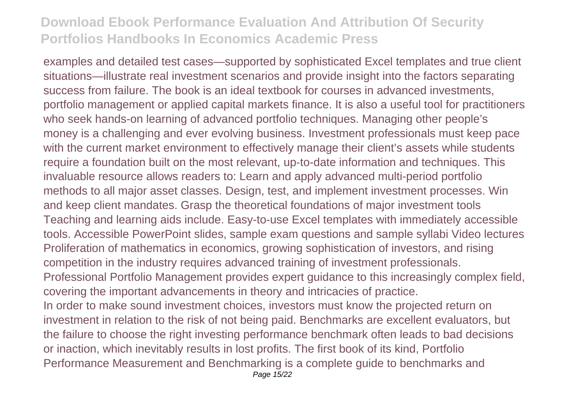examples and detailed test cases—supported by sophisticated Excel templates and true client situations—illustrate real investment scenarios and provide insight into the factors separating success from failure. The book is an ideal textbook for courses in advanced investments, portfolio management or applied capital markets finance. It is also a useful tool for practitioners who seek hands-on learning of advanced portfolio techniques. Managing other people's money is a challenging and ever evolving business. Investment professionals must keep pace with the current market environment to effectively manage their client's assets while students require a foundation built on the most relevant, up-to-date information and techniques. This invaluable resource allows readers to: Learn and apply advanced multi-period portfolio methods to all major asset classes. Design, test, and implement investment processes. Win and keep client mandates. Grasp the theoretical foundations of major investment tools Teaching and learning aids include. Easy-to-use Excel templates with immediately accessible tools. Accessible PowerPoint slides, sample exam questions and sample syllabi Video lectures Proliferation of mathematics in economics, growing sophistication of investors, and rising competition in the industry requires advanced training of investment professionals. Professional Portfolio Management provides expert guidance to this increasingly complex field, covering the important advancements in theory and intricacies of practice. In order to make sound investment choices, investors must know the projected return on investment in relation to the risk of not being paid. Benchmarks are excellent evaluators, but the failure to choose the right investing performance benchmark often leads to bad decisions or inaction, which inevitably results in lost profits. The first book of its kind, Portfolio Performance Measurement and Benchmarking is a complete guide to benchmarks and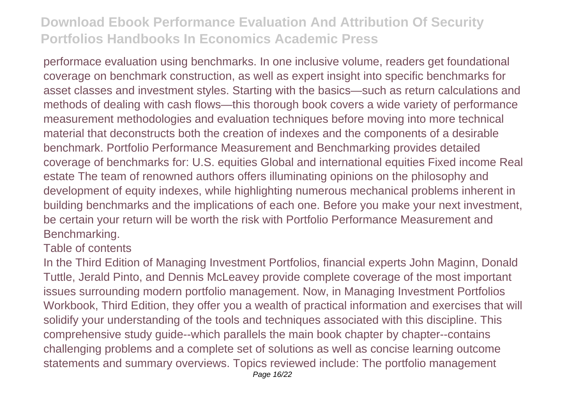performace evaluation using benchmarks. In one inclusive volume, readers get foundational coverage on benchmark construction, as well as expert insight into specific benchmarks for asset classes and investment styles. Starting with the basics—such as return calculations and methods of dealing with cash flows—this thorough book covers a wide variety of performance measurement methodologies and evaluation techniques before moving into more technical material that deconstructs both the creation of indexes and the components of a desirable benchmark. Portfolio Performance Measurement and Benchmarking provides detailed coverage of benchmarks for: U.S. equities Global and international equities Fixed income Real estate The team of renowned authors offers illuminating opinions on the philosophy and development of equity indexes, while highlighting numerous mechanical problems inherent in building benchmarks and the implications of each one. Before you make your next investment, be certain your return will be worth the risk with Portfolio Performance Measurement and Benchmarking.

#### Table of contents

In the Third Edition of Managing Investment Portfolios, financial experts John Maginn, Donald Tuttle, Jerald Pinto, and Dennis McLeavey provide complete coverage of the most important issues surrounding modern portfolio management. Now, in Managing Investment Portfolios Workbook, Third Edition, they offer you a wealth of practical information and exercises that will solidify your understanding of the tools and techniques associated with this discipline. This comprehensive study guide--which parallels the main book chapter by chapter--contains challenging problems and a complete set of solutions as well as concise learning outcome statements and summary overviews. Topics reviewed include: The portfolio management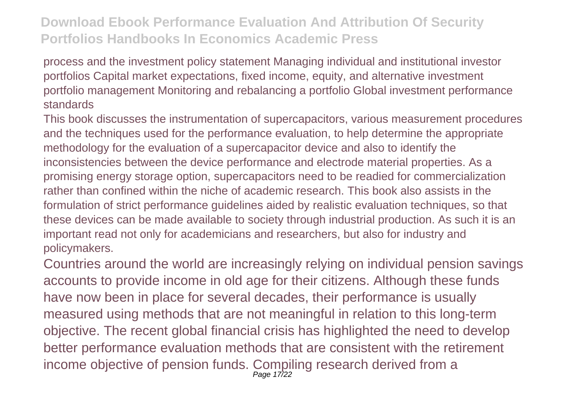process and the investment policy statement Managing individual and institutional investor portfolios Capital market expectations, fixed income, equity, and alternative investment portfolio management Monitoring and rebalancing a portfolio Global investment performance standards

This book discusses the instrumentation of supercapacitors, various measurement procedures and the techniques used for the performance evaluation, to help determine the appropriate methodology for the evaluation of a supercapacitor device and also to identify the inconsistencies between the device performance and electrode material properties. As a promising energy storage option, supercapacitors need to be readied for commercialization rather than confined within the niche of academic research. This book also assists in the formulation of strict performance guidelines aided by realistic evaluation techniques, so that these devices can be made available to society through industrial production. As such it is an important read not only for academicians and researchers, but also for industry and policymakers.

Countries around the world are increasingly relying on individual pension savings accounts to provide income in old age for their citizens. Although these funds have now been in place for several decades, their performance is usually measured using methods that are not meaningful in relation to this long-term objective. The recent global financial crisis has highlighted the need to develop better performance evaluation methods that are consistent with the retirement income objective of pension funds. Compiling research derived from a Page 17/22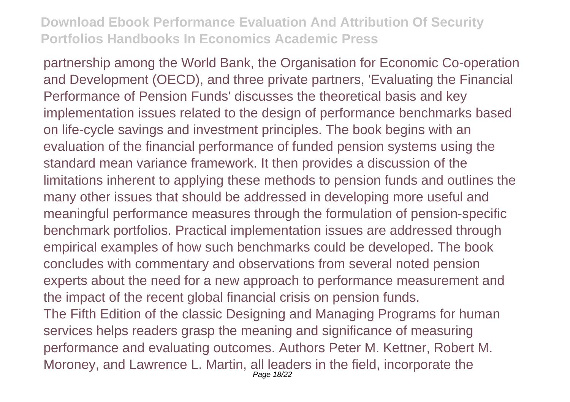partnership among the World Bank, the Organisation for Economic Co-operation and Development (OECD), and three private partners, 'Evaluating the Financial Performance of Pension Funds' discusses the theoretical basis and key implementation issues related to the design of performance benchmarks based on life-cycle savings and investment principles. The book begins with an evaluation of the financial performance of funded pension systems using the standard mean variance framework. It then provides a discussion of the limitations inherent to applying these methods to pension funds and outlines the many other issues that should be addressed in developing more useful and meaningful performance measures through the formulation of pension-specific benchmark portfolios. Practical implementation issues are addressed through empirical examples of how such benchmarks could be developed. The book concludes with commentary and observations from several noted pension experts about the need for a new approach to performance measurement and the impact of the recent global financial crisis on pension funds. The Fifth Edition of the classic Designing and Managing Programs for human services helps readers grasp the meaning and significance of measuring performance and evaluating outcomes. Authors Peter M. Kettner, Robert M. Moroney, and Lawrence L. Martin, all leaders in the field, incorporate the Page 18/22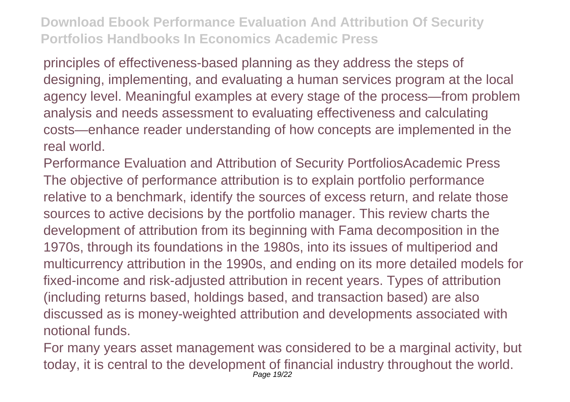principles of effectiveness-based planning as they address the steps of designing, implementing, and evaluating a human services program at the local agency level. Meaningful examples at every stage of the process—from problem analysis and needs assessment to evaluating effectiveness and calculating costs—enhance reader understanding of how concepts are implemented in the real world.

Performance Evaluation and Attribution of Security PortfoliosAcademic Press The objective of performance attribution is to explain portfolio performance relative to a benchmark, identify the sources of excess return, and relate those sources to active decisions by the portfolio manager. This review charts the development of attribution from its beginning with Fama decomposition in the 1970s, through its foundations in the 1980s, into its issues of multiperiod and multicurrency attribution in the 1990s, and ending on its more detailed models for fixed-income and risk-adjusted attribution in recent years. Types of attribution (including returns based, holdings based, and transaction based) are also discussed as is money-weighted attribution and developments associated with notional funds.

For many years asset management was considered to be a marginal activity, but today, it is central to the development of financial industry throughout the world. Page 19/22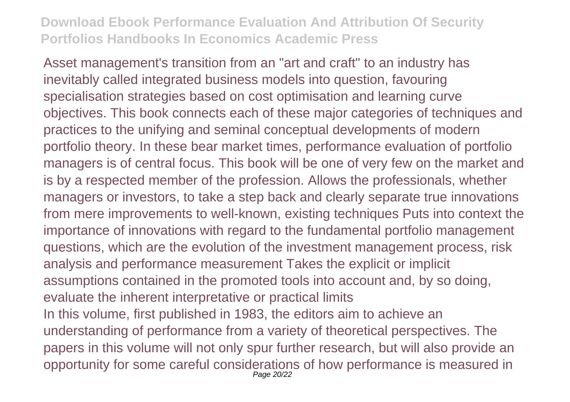Asset management's transition from an "art and craft" to an industry has inevitably called integrated business models into question, favouring specialisation strategies based on cost optimisation and learning curve objectives. This book connects each of these major categories of techniques and practices to the unifying and seminal conceptual developments of modern portfolio theory. In these bear market times, performance evaluation of portfolio managers is of central focus. This book will be one of very few on the market and is by a respected member of the profession. Allows the professionals, whether managers or investors, to take a step back and clearly separate true innovations from mere improvements to well-known, existing techniques Puts into context the importance of innovations with regard to the fundamental portfolio management questions, which are the evolution of the investment management process, risk analysis and performance measurement Takes the explicit or implicit assumptions contained in the promoted tools into account and, by so doing, evaluate the inherent interpretative or practical limits In this volume, first published in 1983, the editors aim to achieve an understanding of performance from a variety of theoretical perspectives. The papers in this volume will not only spur further research, but will also provide an opportunity for some careful considerations of how performance is measured in Page 20/22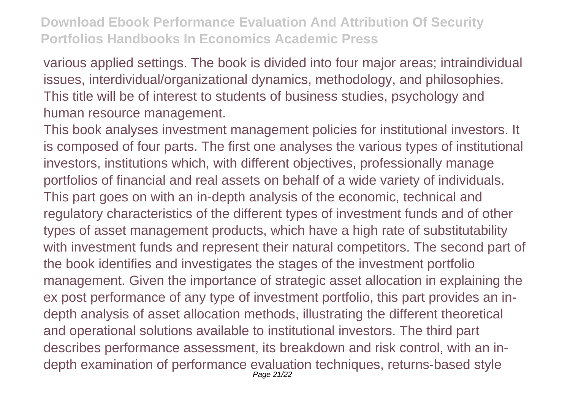various applied settings. The book is divided into four major areas; intraindividual issues, interdividual/organizational dynamics, methodology, and philosophies. This title will be of interest to students of business studies, psychology and human resource management.

This book analyses investment management policies for institutional investors. It is composed of four parts. The first one analyses the various types of institutional investors, institutions which, with different objectives, professionally manage portfolios of financial and real assets on behalf of a wide variety of individuals. This part goes on with an in-depth analysis of the economic, technical and regulatory characteristics of the different types of investment funds and of other types of asset management products, which have a high rate of substitutability with investment funds and represent their natural competitors. The second part of the book identifies and investigates the stages of the investment portfolio management. Given the importance of strategic asset allocation in explaining the ex post performance of any type of investment portfolio, this part provides an indepth analysis of asset allocation methods, illustrating the different theoretical and operational solutions available to institutional investors. The third part describes performance assessment, its breakdown and risk control, with an indepth examination of performance evaluation techniques, returns-based style Page 21/22